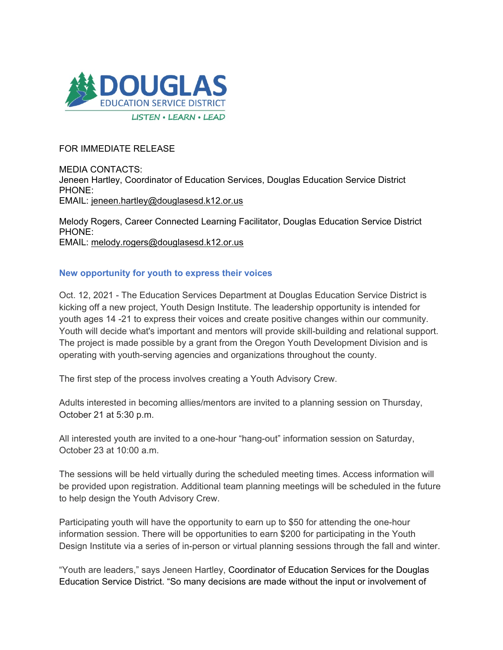

## FOR IMMEDIATE RELEASE

MEDIA CONTACTS: Jeneen Hartley, Coordinator of Education Services, Douglas Education Service District PHONE: EMAIL: [jeneen.hartley@douglasesd.k12.or.us](mailto:jeneen.hartley@douglasesd.k12.or.us)

Melody Rogers, Career Connected Learning Facilitator, Douglas Education Service District PHONE: EMAIL: [melody.rogers@douglasesd.k12.or.us](mailto:melody.rogers@douglasesd.k12.or.us)

## **New opportunity for youth to express their voices**

Oct. 12, 2021 - The Education Services Department at Douglas Education Service District is kicking off a new project, Youth Design Institute. The leadership opportunity is intended for youth ages 14 -21 to express their voices and create positive changes within our community. Youth will decide what's important and mentors will provide skill-building and relational support. The project is made possible by a grant from the Oregon Youth Development Division and is operating with youth-serving agencies and organizations throughout the county.

The first step of the process involves creating a Youth Advisory Crew.

Adults interested in becoming allies/mentors are invited to a planning session on Thursday, October 21 at 5:30 p.m.

All interested youth are invited to a one-hour "hang-out" information session on Saturday, October 23 at 10:00 a.m.

The sessions will be held virtually during the scheduled meeting times. Access information will be provided upon registration. Additional team planning meetings will be scheduled in the future to help design the Youth Advisory Crew.

Participating youth will have the opportunity to earn up to \$50 for attending the one-hour information session. There will be opportunities to earn \$200 for participating in the Youth Design Institute via a series of in-person or virtual planning sessions through the fall and winter.

"Youth are leaders," says Jeneen Hartley, Coordinator of Education Services for the Douglas Education Service District. "So many decisions are made without the input or involvement of